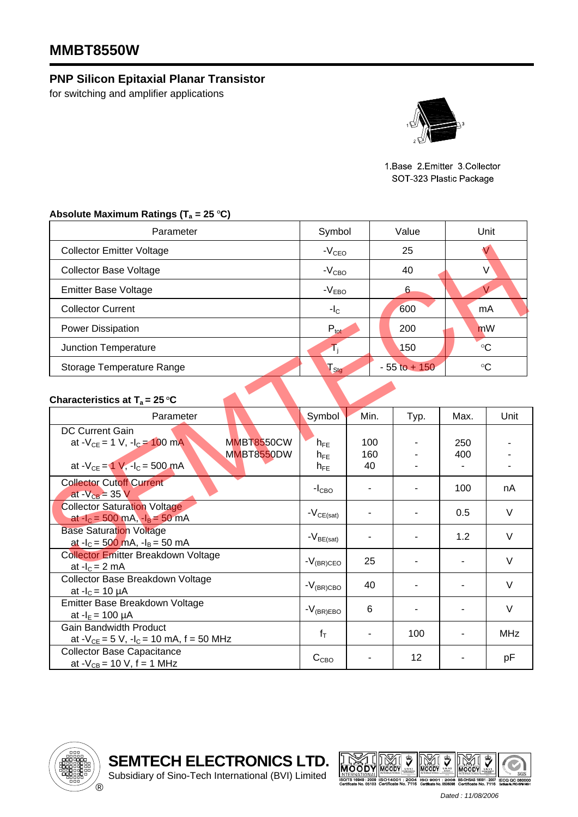## **MMBT8550W**

## **PNP Silicon Epitaxial Planar Transistor**

for switching and amplifier applications



1 Base 2 Emitter 3 Collector SOT 323 Plastic Package

## Absolute Maximum Ratings (T<sub>a</sub> = 25 °C)

| Parameter                        | Symbol           | Value           | Unit        |  |
|----------------------------------|------------------|-----------------|-------------|--|
| <b>Collector Emitter Voltage</b> | $-VCEO$          | 25              |             |  |
| <b>Collector Base Voltage</b>    | $-VCBO$          | 40              | V           |  |
| <b>Emitter Base Voltage</b>      | $-VEBO$          | 6               |             |  |
| <b>Collector Current</b>         | $-IC$            | 600             | mA          |  |
| <b>Power Dissipation</b>         | $P_{\text{tot}}$ | 200             | mW          |  |
| Junction Temperature             |                  | 150             | $^{\circ}C$ |  |
| Storage Temperature Range        | Sta              | $-55$ to $+150$ | $^{\circ}C$ |  |

## **Characteristics at T<sub>a</sub> = 25 °C**

| <b>Collector Emitter Voltage</b>                                                                                                          | $-VCEO$                          |                  | 25<br>$\sqrt{}$              |            |                 |  |  |
|-------------------------------------------------------------------------------------------------------------------------------------------|----------------------------------|------------------|------------------------------|------------|-----------------|--|--|
| <b>Collector Base Voltage</b>                                                                                                             |                                  | $-VCBO$          |                              | $\vee$     |                 |  |  |
| <b>Emitter Base Voltage</b>                                                                                                               | $-VEBO$                          |                  | 6                            | V          |                 |  |  |
| <b>Collector Current</b>                                                                                                                  | $-IC$                            |                  | 600<br>mA                    |            |                 |  |  |
| <b>Power Dissipation</b>                                                                                                                  | $P_{\text{tot}}$                 |                  | 200                          | mW         |                 |  |  |
| Junction Temperature                                                                                                                      | $T_{\rm j}$                      |                  | 150                          |            | $\rm ^{\circ}C$ |  |  |
| Storage Temperature Range                                                                                                                 | $\Gamma_{\text{Stg}}$            |                  | $\circ$ C<br>$-55$ to $+150$ |            |                 |  |  |
| Characteristics at $T_a = 25 \degree C$                                                                                                   |                                  |                  |                              |            |                 |  |  |
| Parameter                                                                                                                                 | Symbol                           | Min.             | Typ.                         | Max.       | Unit            |  |  |
| <b>DC Current Gain</b><br><b>MMBT8550CW</b><br>at $-V_{CE} = 1 V$ , $-I_C = 100 mA$<br>MMBT8550DW<br>at $-V_{CE} = 1 V$ , $-I_C = 500 mA$ | $h_{FE}$<br>$h_{FE}$<br>$h_{FE}$ | 100<br>160<br>40 |                              | 250<br>400 |                 |  |  |
| <b>Collector Cutoff Current</b><br>at - $V_{CB}$ = 35 V                                                                                   | $-ICBO$                          |                  |                              | 100        | nA              |  |  |
| <b>Collector Saturation Voltage</b><br>at $-I_c = 500$ mA, $-I_B = 50$ mA                                                                 | $-V_{CE(sat)}$                   |                  |                              | 0.5        | V               |  |  |
| <b>Base Saturation Voltage</b><br>at $-I_c = 500$ mA, $-I_B = 50$ mA                                                                      | $-V_{BE(sat)}$                   |                  |                              | 1.2        | V               |  |  |
| <b>Collector Emitter Breakdown Voltage</b><br>at $-IC = 2 mA$                                                                             | $-V_{(BR)CEO}$                   | 25               |                              |            | V               |  |  |
| Collector Base Breakdown Voltage<br>at $-I_c = 10 \mu A$                                                                                  | $-V_{(BR)CBO}$                   | 40               |                              |            | V               |  |  |
| Emitter Base Breakdown Voltage<br>at $-I_E = 100 \mu A$                                                                                   | $-V_{(BR)EBO}$                   | 6                |                              |            | $\vee$          |  |  |
| <b>Gain Bandwidth Product</b><br>at $-V_{CE} = 5 V$ , $-I_C = 10 mA$ , $f = 50 MHz$                                                       | $f_T$                            |                  | 100                          |            | <b>MHz</b>      |  |  |
| <b>Collector Base Capacitance</b><br>at $-V_{CB} = 10 V$ , f = 1 MHz                                                                      | C <sub>CBO</sub>                 |                  | 12                           |            | pF              |  |  |







*Dated : 11/08/2006*